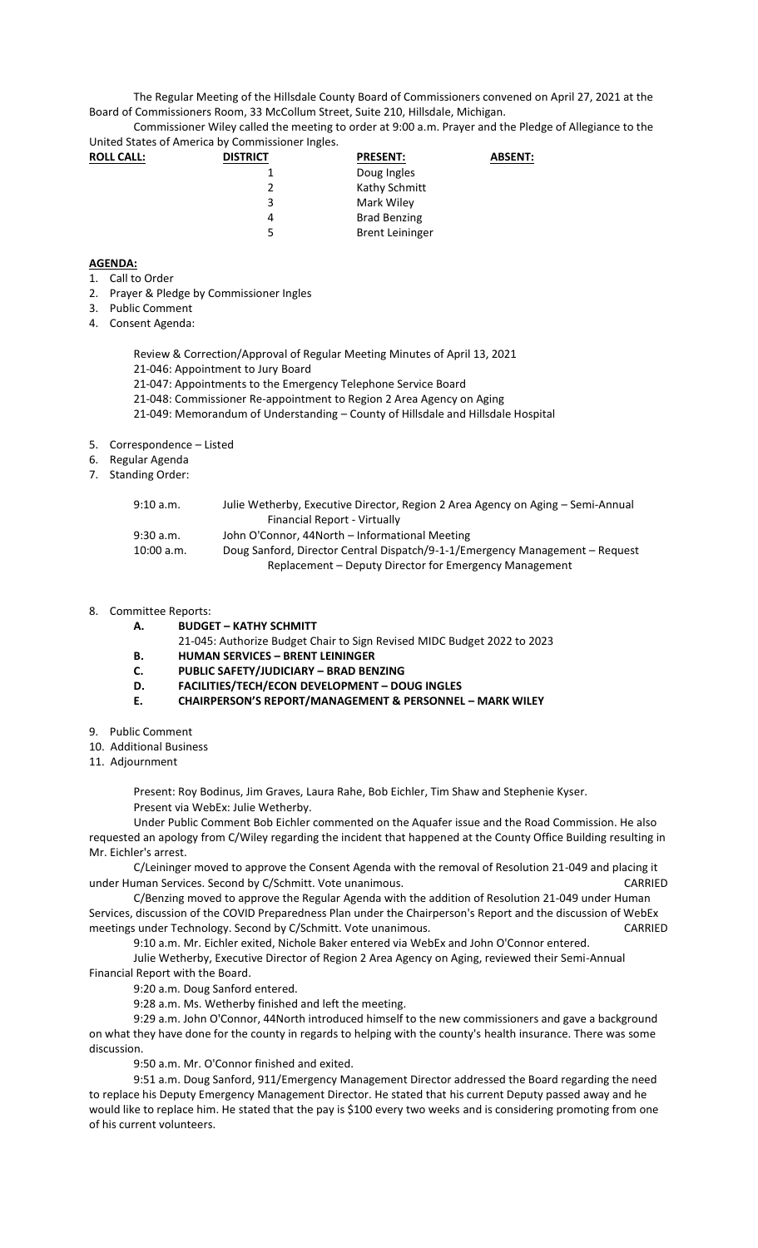The Regular Meeting of the Hillsdale County Board of Commissioners convened on April 27, 2021 at the Board of Commissioners Room, 33 McCollum Street, Suite 210, Hillsdale, Michigan.

Commissioner Wiley called the meeting to order at 9:00 a.m. Prayer and the Pledge of Allegiance to the United States of America by Commissioner Ingles.

| <b>ROLL CALL:</b> | <b>DISTRICT</b> | <b>PRESENT:</b>        | <b>ABSENT:</b> |
|-------------------|-----------------|------------------------|----------------|
|                   |                 | Doug Ingles            |                |
|                   |                 | Kathy Schmitt          |                |
|                   | 3               | Mark Wiley             |                |
|                   | 4               | <b>Brad Benzing</b>    |                |
|                   | 5               | <b>Brent Leininger</b> |                |

## **AGENDA:**

- 1. Call to Order
- 2. Prayer & Pledge by Commissioner Ingles
- 3. Public Comment
- 4. Consent Agenda:

Review & Correction/Approval of Regular Meeting Minutes of April 13, 2021

- 21-046: Appointment to Jury Board
- 21-047: Appointments to the Emergency Telephone Service Board
- 21-048: Commissioner Re-appointment to Region 2 Area Agency on Aging
- 21-049: Memorandum of Understanding County of Hillsdale and Hillsdale Hospital
- 5. Correspondence Listed
- 6. Regular Agenda
- 7. Standing Order:

| 9:10 a.m.  | Julie Wetherby, Executive Director, Region 2 Area Agency on Aging – Semi-Annual |
|------------|---------------------------------------------------------------------------------|
|            | Financial Report - Virtually                                                    |
| 9:30 a.m.  | John O'Connor, 44North – Informational Meeting                                  |
| 10:00 a.m. | Doug Sanford, Director Central Dispatch/9-1-1/Emergency Management - Request    |
|            | Replacement – Deputy Director for Emergency Management                          |

## 8. Committee Reports:

- **A. BUDGET – KATHY SCHMITT**
	- 21-045: Authorize Budget Chair to Sign Revised MIDC Budget 2022 to 2023
- **B. HUMAN SERVICES – BRENT LEININGER**
- **C. PUBLIC SAFETY/JUDICIARY – BRAD BENZING**
- **D. FACILITIES/TECH/ECON DEVELOPMENT – DOUG INGLES**
- **E. CHAIRPERSON'S REPORT/MANAGEMENT & PERSONNEL – MARK WILEY**
- 9. Public Comment
- 10. Additional Business
- 11. Adjournment

Present: Roy Bodinus, Jim Graves, Laura Rahe, Bob Eichler, Tim Shaw and Stephenie Kyser. Present via WebEx: Julie Wetherby.

Under Public Comment Bob Eichler commented on the Aquafer issue and the Road Commission. He also requested an apology from C/Wiley regarding the incident that happened at the County Office Building resulting in Mr. Eichler's arrest.

C/Leininger moved to approve the Consent Agenda with the removal of Resolution 21-049 and placing it under Human Services. Second by C/Schmitt. Vote unanimous. CARRIED

C/Benzing moved to approve the Regular Agenda with the addition of Resolution 21-049 under Human Services, discussion of the COVID Preparedness Plan under the Chairperson's Report and the discussion of WebEx meetings under Technology. Second by C/Schmitt. Vote unanimous. The contract of the CARRIED

9:10 a.m. Mr. Eichler exited, Nichole Baker entered via WebEx and John O'Connor entered.

Julie Wetherby, Executive Director of Region 2 Area Agency on Aging, reviewed their Semi-Annual Financial Report with the Board.

9:20 a.m. Doug Sanford entered.

9:28 a.m. Ms. Wetherby finished and left the meeting.

9:29 a.m. John O'Connor, 44North introduced himself to the new commissioners and gave a background on what they have done for the county in regards to helping with the county's health insurance. There was some discussion.

9:50 a.m. Mr. O'Connor finished and exited.

9:51 a.m. Doug Sanford, 911/Emergency Management Director addressed the Board regarding the need to replace his Deputy Emergency Management Director. He stated that his current Deputy passed away and he would like to replace him. He stated that the pay is \$100 every two weeks and is considering promoting from one of his current volunteers.